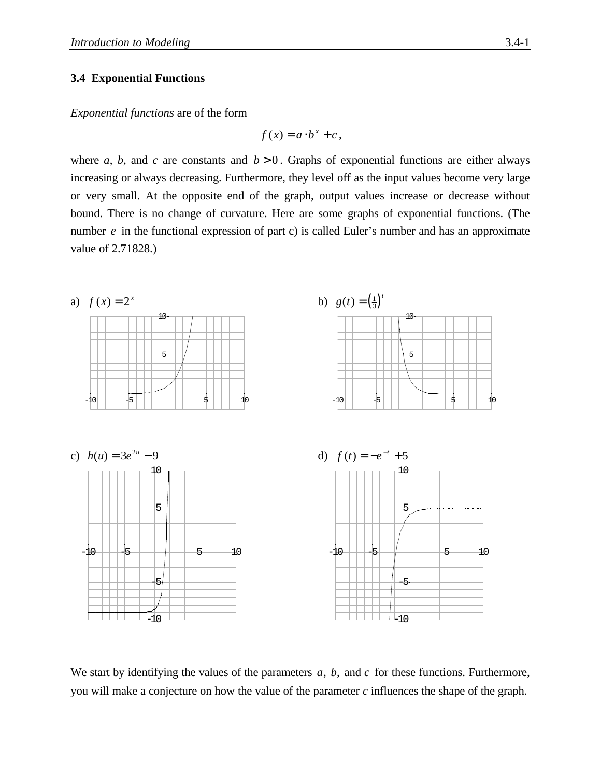### **3.4 Exponential Functions**

*Exponential functions* are of the form

$$
f(x) = a \cdot b^x + c \,,
$$

where *a*, *b*, and *c* are constants and  $b > 0$ . Graphs of exponential functions are either always increasing or always decreasing. Furthermore, they level off as the input values become very large or very small. At the opposite end of the graph, output values increase or decrease without bound. There is no change of curvature. Here are some graphs of exponential functions. (The number *e* in the functional expression of part c) is called Euler's number and has an approximate value of 2.71828.)



We start by identifying the values of the parameters *a*, *b*, and *c* for these functions. Furthermore, you will make a conjecture on how the value of the parameter *c* influences the shape of the graph.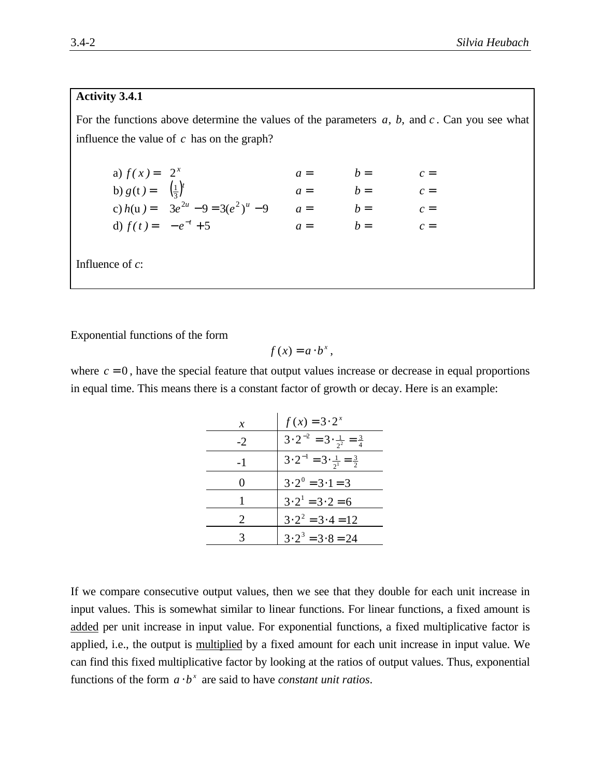### **Activity 3.4.1**

For the functions above determine the values of the parameters *a*, *b*, and *c* . Can you see what influence the value of *c* has on the graph?

| a) $f(x) = 2^x$             |                                        | $a =$ | $b =$ | $c =$ |
|-----------------------------|----------------------------------------|-------|-------|-------|
| b) $g(t) = (\frac{1}{3})^t$ |                                        | $a =$ | $b =$ | $c =$ |
|                             | c) $h(u) = 3e^{2u} - 9 = 3(e^2)^u - 9$ | $a =$ | $b =$ | $c =$ |
| d) $f(t) = -e^{-t} + 5$     |                                        | $a =$ | $h =$ | $c =$ |
|                             |                                        |       |       |       |

Influence of *c*:

Exponential functions of the form

$$
f(x)=a\cdot b^{x},
$$

where  $c = 0$ , have the special feature that output values increase or decrease in equal proportions in equal time. This means there is a constant factor of growth or decay. Here is an example:

| х                     | $f(x) = 3 \cdot 2^x$                                   |
|-----------------------|--------------------------------------------------------|
| $-2$                  | $3 \cdot 2^{-2} = 3 \cdot \frac{1}{2^2} = \frac{3}{4}$ |
| $-1$                  | $3 \cdot 2^{-1} = 3 \cdot \frac{1}{2^1} = \frac{3}{2}$ |
| ( )                   | $3 \cdot 2^0 = 3 \cdot 1 = 3$                          |
|                       | $3 \cdot 2^1 = 3 \cdot 2 = 6$                          |
| $\mathcal{D}_{\cdot}$ | $3 \cdot 2^2 = 3 \cdot 4 = 12$                         |
|                       | $3 \cdot 2^3 = 3 \cdot 8 = 24$                         |

If we compare consecutive output values, then we see that they double for each unit increase in input values. This is somewhat similar to linear functions. For linear functions, a fixed amount is added per unit increase in input value. For exponential functions, a fixed multiplicative factor is applied, i.e., the output is multiplied by a fixed amount for each unit increase in input value. We can find this fixed multiplicative factor by looking at the ratios of output values. Thus, exponential functions of the form  $a \cdot b^x$  are said to have *constant unit ratios*.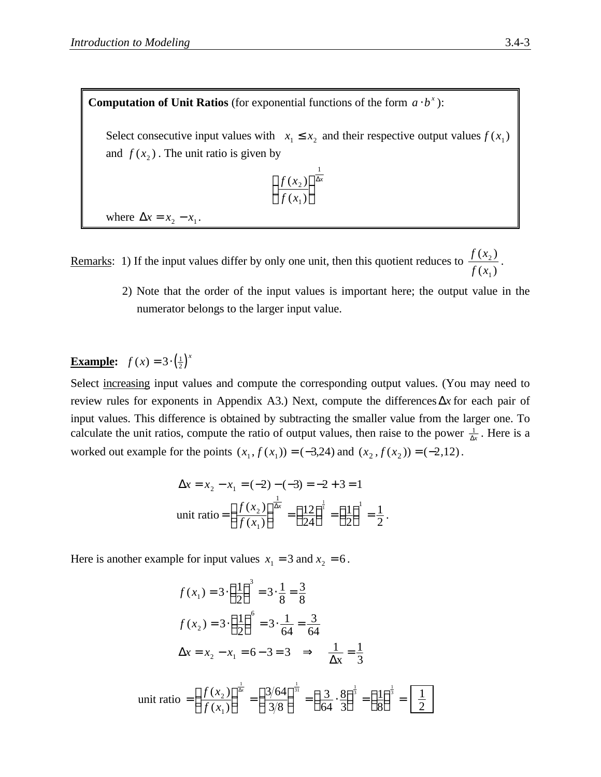**Computation of Unit Ratios** (for exponential functions of the form  $a \cdot b^x$ ):

Select consecutive input values with  $x_1 \le x_2$  and their respective output values  $f(x_1)$ and  $f(x_2)$ . The unit ratio is given by

$$
\left(\frac{f(x_2)}{f(x_1)}\right)^{\frac{1}{\Delta x}}
$$

where  $\Delta x = x_2 - x_1$ .

Remarks: 1) If the input values differ by only one unit, then this quotient reduces to  $\frac{f(x)}{f(x)}$ *f x*  $(x_2)$  $(x_1)$ 2 1 .

> 2) Note that the order of the input values is important here; the output value in the numerator belongs to the larger input value.

# **Example:**  $f(x) = 3 \cdot \left(\frac{1}{2}\right)^x$

Select increasing input values and compute the corresponding output values. (You may need to review rules for exponents in Appendix A3.) Next, compute the differencesΔ*x* for each pair of input values. This difference is obtained by subtracting the smaller value from the larger one. To calculate the unit ratios, compute the ratio of output values, then raise to the power  $\frac{1}{\Delta x}$ . Here is a worked out example for the points  $(x_1, f(x_1)) = (-3,24)$  and  $(x_2, f(x_2)) = (-2,12)$ .

$$
\Delta x = x_2 - x_1 = (-2) - (-3) = -2 + 3 = 1
$$
  
unit ratio =  $\left(\frac{f(x_2)}{f(x_1)}\right)^{\frac{1}{\Delta x}} = \left(\frac{12}{24}\right)^{\frac{1}{1}} = \left(\frac{1}{2}\right)^{1} = \frac{1}{2}.$ 

Here is another example for input values  $x_1 = 3$  and  $x_2 = 6$ .

$$
f(x_1) = 3 \cdot \left(\frac{1}{2}\right)^3 = 3 \cdot \frac{1}{8} = \frac{3}{8}
$$
  

$$
f(x_2) = 3 \cdot \left(\frac{1}{2}\right)^6 = 3 \cdot \frac{1}{64} = \frac{3}{64}
$$
  

$$
\Delta x = x_2 - x_1 = 6 - 3 = 3 \implies \frac{1}{\Delta x} = \frac{1}{3}
$$
  
unit ratio 
$$
= \left(\frac{f(x_2)}{f(x_1)}\right)^{\frac{1}{\Delta x}} = \left(\frac{3/64}{3/8}\right)^{\frac{1}{3}} = \left(\frac{3}{64} \cdot \frac{8}{3}\right)^{\frac{1}{3}} = \left(\frac{1}{8}\right)^{\frac{1}{3}} = \boxed{\frac{1}{2}}
$$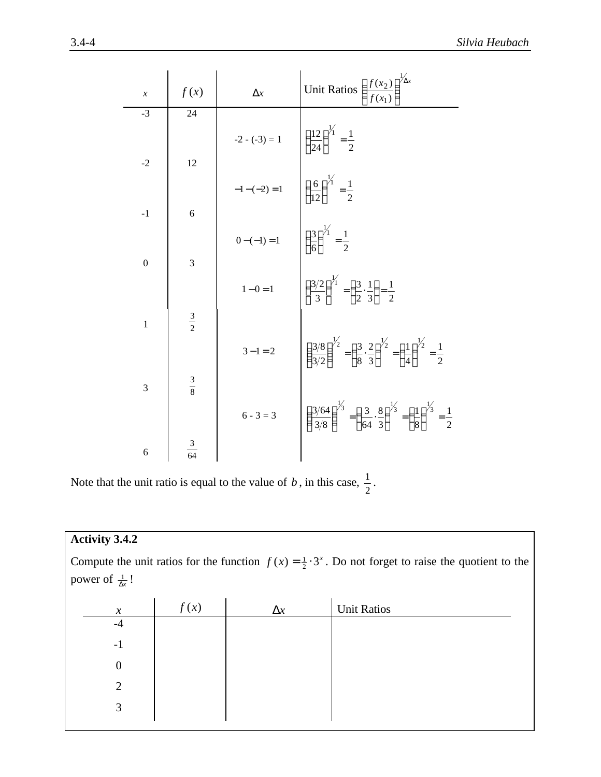| $\mathcal{X}$  | f(x)           | $\Delta x$  | Unit Ratios $\left(\frac{f(x_2)}{f(x_1)}\right)^{\frac{1}{4}}$                                                                                                                                                                                                                                                                                                  |
|----------------|----------------|-------------|-----------------------------------------------------------------------------------------------------------------------------------------------------------------------------------------------------------------------------------------------------------------------------------------------------------------------------------------------------------------|
| $-3$           | 24             |             |                                                                                                                                                                                                                                                                                                                                                                 |
| $-2$           | 12             |             |                                                                                                                                                                                                                                                                                                                                                                 |
|                |                |             | -2 - (-3) = 1<br>$-1-(-2) = 1$<br>$0-(-1) = 1$<br>$\left(\frac{6}{24}\right)^{\frac{1}{1}} = \frac{1}{2}$<br>$0-(-1) = 1$<br>$\left(\frac{3}{6}\right)^{\frac{1}{1}} = \frac{1}{2}$<br>$1-0=1$<br>$\left(\frac{3}{2}\right)^{\frac{1}{1}} = \frac{1}{2}$<br>$\left(\frac{3}{2}\right)^{\frac{1}{1}} = \left(\frac{3}{2} \cdot \frac{1}{3}\right) = \frac{1}{2}$ |
| $-1$           | 6              |             |                                                                                                                                                                                                                                                                                                                                                                 |
| $\mathbf{0}$   | 3              |             |                                                                                                                                                                                                                                                                                                                                                                 |
|                |                |             |                                                                                                                                                                                                                                                                                                                                                                 |
|                | $rac{3}{2}$    |             |                                                                                                                                                                                                                                                                                                                                                                 |
| $\mathbf{1}$   |                | $3 - 1 = 2$ | $\left( \frac{3/8}{3/2} \right)^{\frac{1}{2}} = \left( \frac{3}{8} \cdot \frac{2}{3} \right)^{\frac{1}{2}} = \left( \frac{1}{4} \right)^{\frac{1}{2}} = \frac{1}{2}$                                                                                                                                                                                            |
| $\overline{3}$ | $rac{3}{8}$    |             |                                                                                                                                                                                                                                                                                                                                                                 |
|                |                | $6 - 3 = 3$ | $\left( \frac{3/64}{3/8} \right)^{1/3} = \left( \frac{3}{64} \cdot \frac{8}{3} \right)^{1/3} = \left( \frac{1}{8} \right)^{1/3} = \frac{1}{2}$                                                                                                                                                                                                                  |
| 6              | $\frac{3}{64}$ |             |                                                                                                                                                                                                                                                                                                                                                                 |

Note that the unit ratio is equal to the value of  $b$ , in this case,  $\frac{1}{2}$  $\frac{1}{2}$ .

| <b>Activity 3.4.2</b>           |      |            |                                                                                                                      |
|---------------------------------|------|------------|----------------------------------------------------------------------------------------------------------------------|
|                                 |      |            | Compute the unit ratios for the function $f(x) = \frac{1}{2} \cdot 3^x$ . Do not forget to raise the quotient to the |
| power of $\frac{1}{\Delta x}$ ! |      |            |                                                                                                                      |
|                                 |      |            |                                                                                                                      |
| $\chi$                          | f(x) | $\Delta x$ | <b>Unit Ratios</b>                                                                                                   |
| $-4$                            |      |            |                                                                                                                      |
| $-1$                            |      |            |                                                                                                                      |
| $\boldsymbol{0}$                |      |            |                                                                                                                      |
| $\overline{2}$                  |      |            |                                                                                                                      |
| 3                               |      |            |                                                                                                                      |
|                                 |      |            |                                                                                                                      |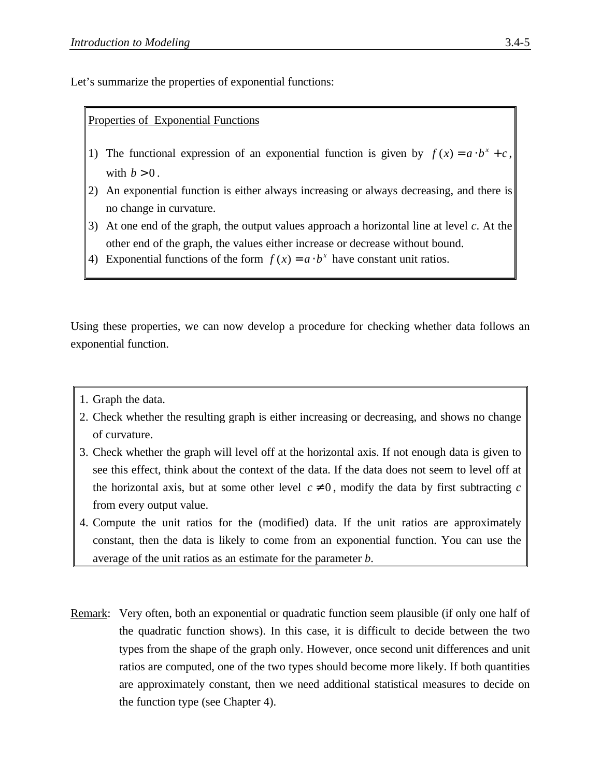Let's summarize the properties of exponential functions:

## Properties of Exponential Functions

- 1) The functional expression of an exponential function is given by  $f(x) = a \cdot b^x + c$ , with  $b > 0$ .
- 2) An exponential function is either always increasing or always decreasing, and there is no change in curvature.
- 3) At one end of the graph, the output values approach a horizontal line at level *c*. At the other end of the graph, the values either increase or decrease without bound.
- 4) Exponential functions of the form  $f(x) = a \cdot b^x$  have constant unit ratios.

Using these properties, we can now develop a procedure for checking whether data follows an exponential function.

- 1. Graph the data.
- 2. Check whether the resulting graph is either increasing or decreasing, and shows no change of curvature.
- 3. Check whether the graph will level off at the horizontal axis. If not enough data is given to see this effect, think about the context of the data. If the data does not seem to level off at the horizontal axis, but at some other level  $c \neq 0$ , modify the data by first subtracting *c* from every output value.
- 4. Compute the unit ratios for the (modified) data. If the unit ratios are approximately constant, then the data is likely to come from an exponential function. You can use the average of the unit ratios as an estimate for the parameter *b*.
- Remark: Very often, both an exponential or quadratic function seem plausible (if only one half of the quadratic function shows). In this case, it is difficult to decide between the two types from the shape of the graph only. However, once second unit differences and unit ratios are computed, one of the two types should become more likely. If both quantities are approximately constant, then we need additional statistical measures to decide on the function type (see Chapter 4).